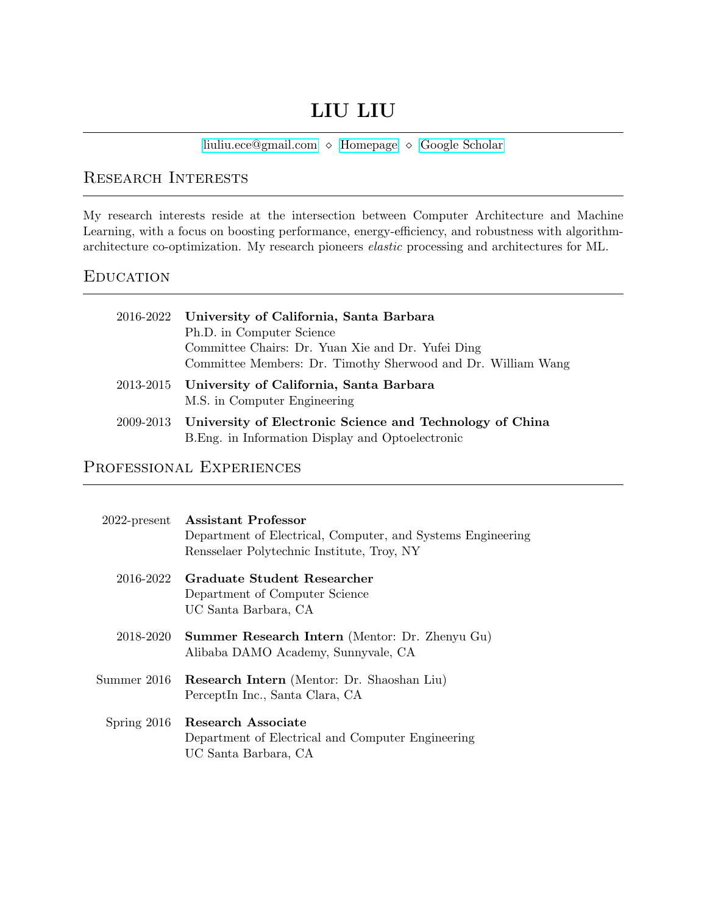# LIU LIU

[liuliu.ece@gmail.com](mailto:liuliu.ece@gmail.com)  $\Diamond$  [Homepage](https://liuliu-cs.github.io)  $\Diamond$  [Google Scholar](https://scholar.google.com/citations?hl=en&user=_lxwnx4AAAAJ&sortby=pubdate)

## Research Interests

My research interests reside at the intersection between Computer Architecture and Machine Learning, with a focus on boosting performance, energy-efficiency, and robustness with algorithmarchitecture co-optimization. My research pioneers elastic processing and architectures for ML.

#### **EDUCATION**

| 2016-2022 University of California, Santa Barbara<br>Ph.D. in Computer Science<br>Committee Chairs: Dr. Yuan Xie and Dr. Yufei Ding<br>Committee Members: Dr. Timothy Sherwood and Dr. William Wang |
|-----------------------------------------------------------------------------------------------------------------------------------------------------------------------------------------------------|
| 2013-2015 University of California, Santa Barbara<br>M.S. in Computer Engineering                                                                                                                   |
| 2009-2013 University of Electronic Science and Technology of China<br>B. Eng. in Information Display and Optoelectronic                                                                             |

#### PROFESSIONAL EXPERIENCES

| $2022$ -present | <b>Assistant Professor</b><br>Department of Electrical, Computer, and Systems Engineering<br>Rensselaer Polytechnic Institute, Troy, NY |
|-----------------|-----------------------------------------------------------------------------------------------------------------------------------------|
| 2016-2022       | Graduate Student Researcher<br>Department of Computer Science<br>UC Santa Barbara, CA                                                   |
|                 | 2018-2020 Summer Research Intern (Mentor: Dr. Zhenyu Gu)<br>Alibaba DAMO Academy, Sunnyvale, CA                                         |
| Summer 2016     | Research Intern (Mentor: Dr. Shaoshan Liu)<br>PerceptIn Inc., Santa Clara, CA                                                           |
|                 | Spring 2016 Research Associate<br>Department of Electrical and Computer Engineering<br>UC Santa Barbara, CA                             |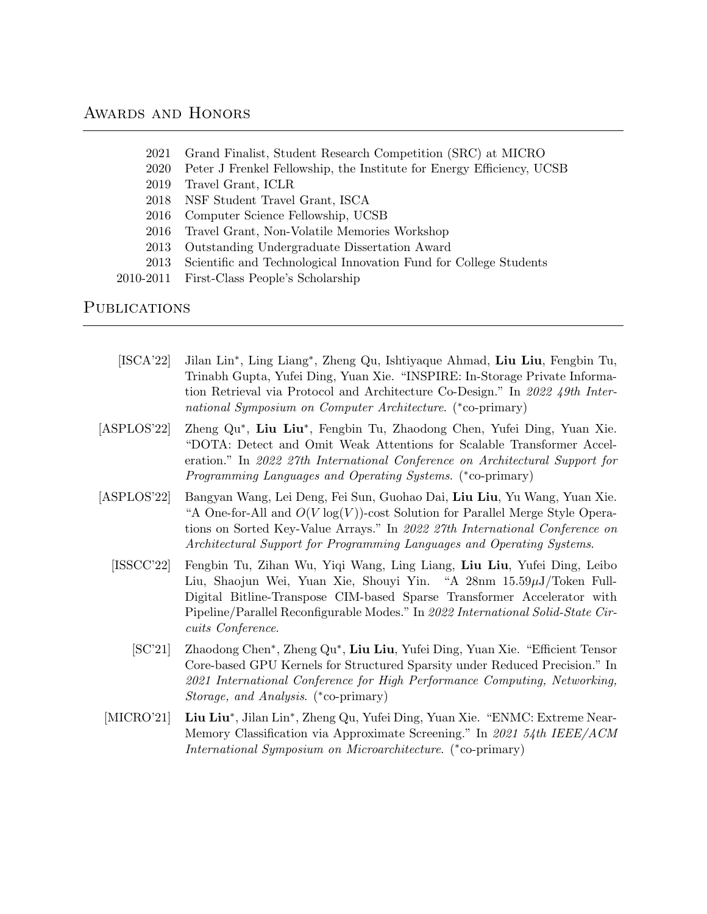#### AWARDS AND HONORS

- 2021 Grand Finalist, Student Research Competition (SRC) at MICRO
- 2020 Peter J Frenkel Fellowship, the Institute for Energy Efficiency, UCSB
- 2019 Travel Grant, ICLR
- 2018 NSF Student Travel Grant, ISCA
- 2016 Computer Science Fellowship, UCSB
- 2016 Travel Grant, Non-Volatile Memories Workshop
- 2013 Outstanding Undergraduate Dissertation Award
- 2013 Scientific and Technological Innovation Fund for College Students
- 2010-2011 First-Class People's Scholarship

#### **PUBLICATIONS**

- [ISCA'22] Jilan Lin<sup>∗</sup> , Ling Liang<sup>∗</sup> , Zheng Qu, Ishtiyaque Ahmad, Liu Liu, Fengbin Tu, Trinabh Gupta, Yufei Ding, Yuan Xie. "INSPIRE: In-Storage Private Information Retrieval via Protocol and Architecture Co-Design." In 2022 49th International Symposium on Computer Architecture. (\*co-primary)
- $[ASPLOS'22]$ , Liu Liu<sup>∗</sup> , Fengbin Tu, Zhaodong Chen, Yufei Ding, Yuan Xie. "DOTA: Detect and Omit Weak Attentions for Scalable Transformer Acceleration." In 2022 27th International Conference on Architectural Support for Programming Languages and Operating Systems. (\*co-primary)
- [ASPLOS'22] Bangyan Wang, Lei Deng, Fei Sun, Guohao Dai, Liu Liu, Yu Wang, Yuan Xie. "A One-for-All and  $O(V \log(V))$ -cost Solution for Parallel Merge Style Operations on Sorted Key-Value Arrays." In 2022 27th International Conference on Architectural Support for Programming Languages and Operating Systems.
	- [ISSCC'22] Fengbin Tu, Zihan Wu, Yiqi Wang, Ling Liang, Liu Liu, Yufei Ding, Leibo Liu, Shaojun Wei, Yuan Xie, Shouyi Yin. "A 28nm 15.59µJ/Token Full-Digital Bitline-Transpose CIM-based Sparse Transformer Accelerator with Pipeline/Parallel Reconfigurable Modes." In 2022 International Solid-State Circuits Conference.
		- [SC'21] Zhaodong Chen<sup>∗</sup> , Zheng Qu<sup>∗</sup> , Liu Liu, Yufei Ding, Yuan Xie. "Efficient Tensor Core-based GPU Kernels for Structured Sparsity under Reduced Precision." In 2021 International Conference for High Performance Computing, Networking, Storage, and Analysis. (<sup>∗</sup> co-primary)
- $[MICRO'21]$ , Jilan Lin<sup>∗</sup> , Zheng Qu, Yufei Ding, Yuan Xie. "ENMC: Extreme Near-Memory Classification via Approximate Screening." In 2021 54th IEEE/ACM International Symposium on Microarchitecture. (<sup>∗</sup> co-primary)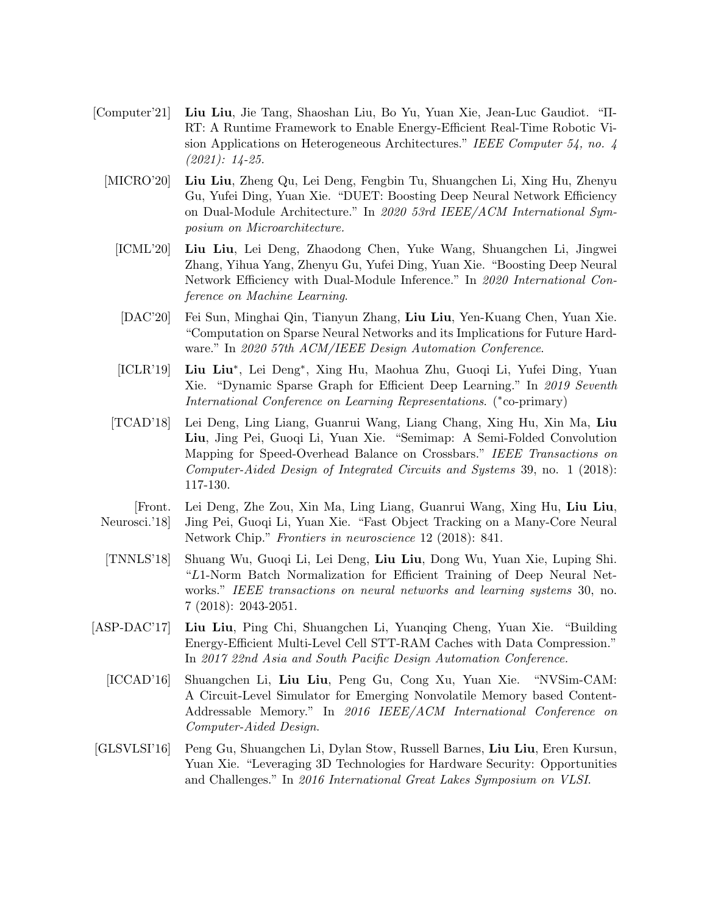- [Computer'21] Liu Liu, Jie Tang, Shaoshan Liu, Bo Yu, Yuan Xie, Jean-Luc Gaudiot. "Π-RT: A Runtime Framework to Enable Energy-Efficient Real-Time Robotic Vision Applications on Heterogeneous Architectures." IEEE Computer 54, no. 4 (2021): 14-25.
	- [MICRO'20] Liu Liu, Zheng Qu, Lei Deng, Fengbin Tu, Shuangchen Li, Xing Hu, Zhenyu Gu, Yufei Ding, Yuan Xie. "DUET: Boosting Deep Neural Network Efficiency on Dual-Module Architecture." In 2020 53rd IEEE/ACM International Symposium on Microarchitecture.
		- [ICML'20] Liu Liu, Lei Deng, Zhaodong Chen, Yuke Wang, Shuangchen Li, Jingwei Zhang, Yihua Yang, Zhenyu Gu, Yufei Ding, Yuan Xie. "Boosting Deep Neural Network Efficiency with Dual-Module Inference." In 2020 International Conference on Machine Learning.
		- [DAC'20] Fei Sun, Minghai Qin, Tianyun Zhang, Liu Liu, Yen-Kuang Chen, Yuan Xie. "Computation on Sparse Neural Networks and its Implications for Future Hardware." In 2020 57th ACM/IEEE Design Automation Conference.
		- [ICLR'19] Liu Liu<sup>\*</sup>, Lei Deng<sup>\*</sup>, Xing Hu, Maohua Zhu, Guoqi Li, Yufei Ding, Yuan Xie. "Dynamic Sparse Graph for Efficient Deep Learning." In 2019 Seventh International Conference on Learning Representations. (\*co-primary)
		- [TCAD'18] Lei Deng, Ling Liang, Guanrui Wang, Liang Chang, Xing Hu, Xin Ma, Liu Liu, Jing Pei, Guoqi Li, Yuan Xie. "Semimap: A Semi-Folded Convolution Mapping for Speed-Overhead Balance on Crossbars." IEEE Transactions on Computer-Aided Design of Integrated Circuits and Systems 39, no. 1 (2018): 117-130.
- [Front. Neurosci.'18] Lei Deng, Zhe Zou, Xin Ma, Ling Liang, Guanrui Wang, Xing Hu, Liu Liu, Jing Pei, Guoqi Li, Yuan Xie. "Fast Object Tracking on a Many-Core Neural Network Chip." Frontiers in neuroscience 12 (2018): 841.
- [TNNLS'18] Shuang Wu, Guoqi Li, Lei Deng, Liu Liu, Dong Wu, Yuan Xie, Luping Shi. "L1-Norm Batch Normalization for Efficient Training of Deep Neural Networks." IEEE transactions on neural networks and learning systems 30, no. 7 (2018): 2043-2051.
- [ASP-DAC'17] Liu Liu, Ping Chi, Shuangchen Li, Yuanqing Cheng, Yuan Xie. "Building Energy-Efficient Multi-Level Cell STT-RAM Caches with Data Compression." In 2017 22nd Asia and South Pacific Design Automation Conference.
	- [ICCAD'16] Shuangchen Li, Liu Liu, Peng Gu, Cong Xu, Yuan Xie. "NVSim-CAM: A Circuit-Level Simulator for Emerging Nonvolatile Memory based Content-Addressable Memory." In 2016 IEEE/ACM International Conference on Computer-Aided Design.
- [GLSVLSI'16] Peng Gu, Shuangchen Li, Dylan Stow, Russell Barnes, Liu Liu, Eren Kursun, Yuan Xie. "Leveraging 3D Technologies for Hardware Security: Opportunities and Challenges." In 2016 International Great Lakes Symposium on VLSI.